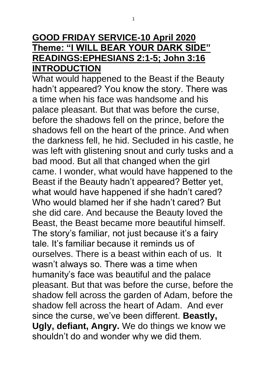## **GOOD FRIDAY SERVICE-10 April 2020 Theme: "I WILL BEAR YOUR DARK SIDE" READINGS:EPHESIANS 2:1-5; John 3:16 INTRODUCTION**

What would happened to the Beast if the Beauty hadn't appeared? You know the story. There was a time when his face was handsome and his palace pleasant. But that was before the curse, before the shadows fell on the prince, before the shadows fell on the heart of the prince. And when the darkness fell, he hid. Secluded in his castle, he was left with glistening snout and curly tusks and a bad mood. But all that changed when the girl came. I wonder, what would have happened to the Beast if the Beauty hadn't appeared? Better yet, what would have happened if she hadn't cared? Who would blamed her if she hadn't cared? But she did care. And because the Beauty loved the Beast, the Beast became more beautiful himself. The story's familiar, not just because it's a fairy tale. It's familiar because it reminds us of ourselves. There is a beast within each of us. It wasn't always so. There was a time when humanity's face was beautiful and the palace pleasant. But that was before the curse, before the shadow fell across the garden of Adam, before the shadow fell across the heart of Adam. And ever since the curse, we've been different. **Beastly, Ugly, defiant, Angry.** We do things we know we shouldn't do and wonder why we did them.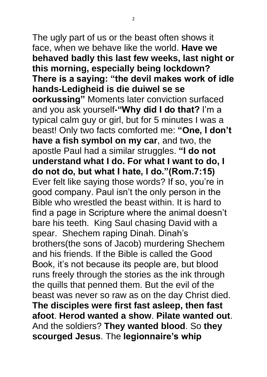The ugly part of us or the beast often shows it face, when we behave like the world. **Have we behaved badly this last few weeks, last night or this morning, especially being lockdown? There is a saying: "the devil makes work of idle hands-Ledigheid is die duiwel se se oorkussing"** Moments later conviction surfaced and you ask yourself**-"Why did I do that?** I'm a typical calm guy or girl, but for 5 minutes I was a beast! Only two facts comforted me: **"One, I don't have a fish symbol on my car**, and two, the apostle Paul had a similar struggles. **"I do not understand what I do. For what I want to do, I do not do, but what I hate, I do."(Rom.7:15)** Ever felt like saying those words? If so, you're in good company. Paul isn't the only person in the Bible who wrestled the beast within. It is hard to find a page in Scripture where the animal doesn't bare his teeth. King Saul chasing David with a spear. Shechem raping Dinah. Dinah's brothers(the sons of Jacob) murdering Shechem and his friends. If the Bible is called the Good Book, it's not because its people are, but blood runs freely through the stories as the ink through the quills that penned them. But the evil of the beast was never so raw as on the day Christ died. **The disciples were first fast asleep, then fast afoot**. **Herod wanted a show**. **Pilate wanted out**. And the soldiers? **They wanted blood**. So **they scourged Jesus**. The **legionnaire's whip**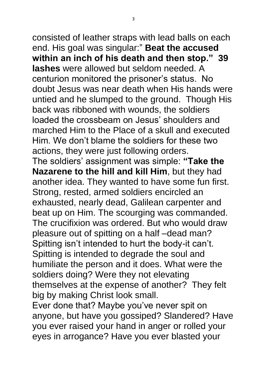consisted of leather straps with lead balls on each end. His goal was singular:" **Beat the accused within an inch of his death and then stop." 39 lashes** were allowed but seldom needed. A centurion monitored the prisoner's status. No doubt Jesus was near death when His hands were untied and he slumped to the ground. Though His back was ribboned with wounds, the soldiers loaded the crossbeam on Jesus' shoulders and marched Him to the Place of a skull and executed Him. We don't blame the soldiers for these two actions, they were just following orders. The soldiers' assignment was simple: **"Take the Nazarene to the hill and kill Him**, but they had another idea. They wanted to have some fun first. Strong, rested, armed soldiers encircled an exhausted, nearly dead, Galilean carpenter and beat up on Him. The scourging was commanded. The crucifixion was ordered. But who would draw pleasure out of spitting on a half –dead man? Spitting isn't intended to hurt the body-it can't. Spitting is intended to degrade the soul and humiliate the person and it does. What were the soldiers doing? Were they not elevating themselves at the expense of another? They felt big by making Christ look small.

Ever done that? Maybe you've never spit on anyone, but have you gossiped? Slandered? Have you ever raised your hand in anger or rolled your eyes in arrogance? Have you ever blasted your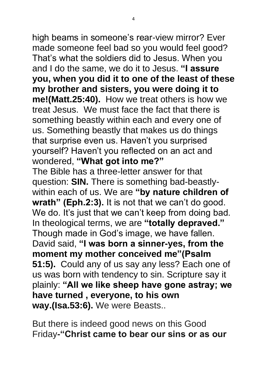high beams in someone's rear-view mirror? Ever made someone feel bad so you would feel good? That's what the soldiers did to Jesus. When you and I do the same, we do it to Jesus. **"I assure you, when you did it to one of the least of these my brother and sisters, you were doing it to me!(Matt.25:40).** How we treat others is how we treat Jesus. We must face the fact that there is something beastly within each and every one of us. Something beastly that makes us do things that surprise even us. Haven't you surprised yourself? Haven't you reflected on an act and wondered, **"What got into me?"** The Bible has a three-letter answer for that question: **SIN.** There is something bad-beastlywithin each of us. We are **"by nature children of wrath" (Eph.2:3).** It is not that we can't do good. We do. It's just that we can't keep from doing bad. In theological terms, we are **"totally depraved."** Though made in God's image, we have fallen. David said, **"I was born a sinner-yes, from the moment my mother conceived me"(Psalm 51:5).** Could any of us say any less? Each one of us was born with tendency to sin. Scripture say it plainly: **"All we like sheep have gone astray; we have turned , everyone, to his own way.(Isa.53:6).** We were Beasts..

But there is indeed good news on this Good Friday**-"Christ came to bear our sins or as our**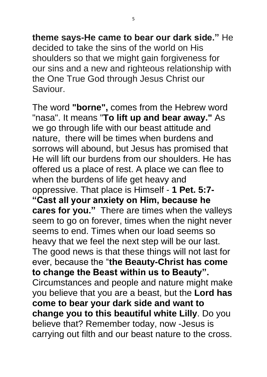**theme says-He came to bear our dark side."** He decided to take the sins of the world on His shoulders so that we might gain forgiveness for our sins and a new and righteous relationship with the One True God through Jesus Christ our Saviour.

The word **"borne",** comes from the Hebrew word "nasa". It means "**To lift up and bear away."** As we go through life with our beast attitude and nature, there will be times when burdens and sorrows will abound, but Jesus has promised that He will lift our burdens from our shoulders. He has offered us a place of rest. A place we can flee to when the burdens of life get heavy and oppressive. That place is Himself - **1 Pet. 5:7- "Cast all your anxiety on Him, because he cares for you."** There are times when the valleys seem to go on forever, times when the night never seems to end. Times when our load seems so heavy that we feel the next step will be our last. The good news is that these things will not last for ever, because the "**the Beauty-Christ has come to change the Beast within us to Beauty".**  Circumstances and people and nature might make you believe that you are a beast, but the **Lord has come to bear your dark side and want to change you to this beautiful white Lilly**. Do you believe that? Remember today, now -Jesus is carrying out filth and our beast nature to the cross.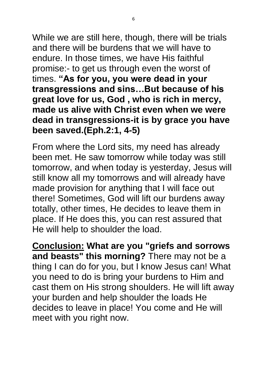While we are still here, though, there will be trials and there will be burdens that we will have to endure. In those times, we have His faithful promise:- to get us through even the worst of times. **"As for you, you were dead in your transgressions and sins…But because of his great love for us, God , who is rich in mercy, made us alive with Christ even when we were dead in transgressions-it is by grace you have been saved.(Eph.2:1, 4-5)**

From where the Lord sits, my need has already been met. He saw tomorrow while today was still tomorrow, and when today is yesterday, Jesus will still know all my tomorrows and will already have made provision for anything that I will face out there! Sometimes, God will lift our burdens away totally, other times, He decides to leave them in place. If He does this, you can rest assured that He will help to shoulder the load.

**Conclusion: What are you "griefs and sorrows and beasts" this morning?** There may not be a thing I can do for you, but I know Jesus can! What you need to do is bring your burdens to Him and cast them on His strong shoulders. He will lift away your burden and help shoulder the loads He decides to leave in place! You come and He will meet with you right now.